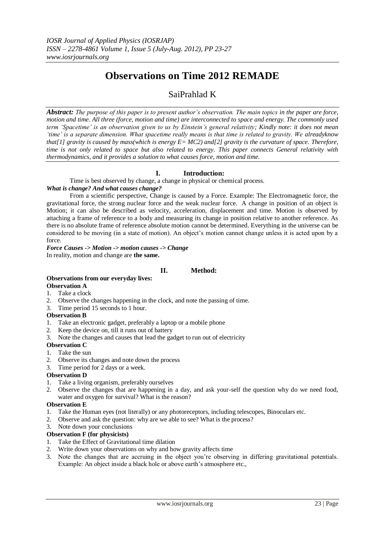# **Observations on Time 2012 REMADE**

# SaiPrahlad K

*Abstract: The purpose of this paper is to present author"s observation. The main topics in the paper are force, motion and time. All three (force, motion and time) are interconnected to space and energy. The commonly used term "Spacetime" is an observation given to us by Einstein"s general relativity; Kindly note: it does not mean "time" is a separate dimension. What spacetime really means is that time is related to gravity. We alreadyknow that[1] gravity is caused by mass(which is energy E= MC2) and[2] gravity is the curvature of space. Therefore, time is not only related to space but also related to energy. This paper connects General relativity with thermodynamics, and it provides a solution to what causes force, motion and time.* 

# **I. Introduction:**

Time is best observed by change, a change in physical or chemical process.

## *What is change? And what causes change?*

From a scientific perspective, Change is caused by a Force. Example: The Electromagnetic force, the gravitational force, the strong nuclear force and the weak nuclear force. A change in position of an object is Motion; it can also be described as velocity, acceleration, displacement and time. Motion is observed by attaching a frame of reference to a body and measuring its change in position relative to another reference. As there is no absolute frame of reference absolute motion cannot be determined. Everything in the universe can be considered to be moving (in a state of motion). An object"s motion cannot change unless it is acted upon by a force.

*Force Causes -> Motion -> motion causes -> Change* In reality, motion and change are **the same.** 

# **II. Method:**

# **Observations from our everyday lives:**

#### **Observation A**

- 1. Take a clock
- 2. Observe the changes happening in the clock, and note the passing of time.
- 3. Time period 15 seconds to 1 hour.

#### **Observation B**

- 1. Take an electronic gadget, preferably a laptop or a mobile phone
- 2. Keep the device on, till it runs out of battery
- 3. Note the changes and causes that lead the gadget to run out of electricity

# **Observation C**

- 1. Take the sun
- 2. Observe its changes and note down the process
- 3. Time period for 2 days or a week.

# **Observation D**

- 1. Take a living organism, preferably ourselves
- 2. Observe the changes that are happening in a day, and ask your-self the question why do we need food, water and oxygen for survival? What is the reason?

# **Observation E**

- 1. Take the Human eyes (not literally) or any photoreceptors, including telescopes, Binoculars etc.
- 2. Observe and ask the question: why are we able to see? What is the process?
- 3. Note down your conclusions

# **Observation F (for physicists)**

- 1. Take the Effect of Gravitational time dilation
- 2. Write down your observations on why and how gravity affects time
- 3. Note the changes that are accruing in the object you"re observing in differing gravitational potentials. Example: An object inside a black hole or above earth's atmosphere etc.,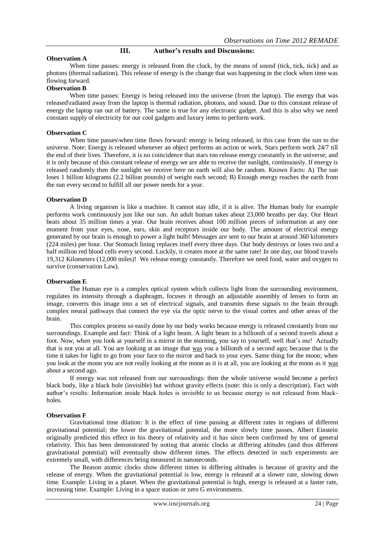#### **III. Author's results and Discussions: Observation A**

When time passes: energy is released from the clock, by the means of sound (tick, tick, tick) and as photons (thermal radiation). This release of energy is the change that was happening in the clock when time was flowing forward.

#### **Observation B**

When time passes: Energy is being released into the universe (from the laptop). The energy that was released\radiated away from the laptop is thermal radiation, photons, and sound. Due to this constant release of energy the laptop ran out of battery. The same is true for any electronic gadget. And this is also why we need constant supply of electricity for our cool gadgets and luxury items to perform work.

#### **Observation C**

When time passes\when time flows forward: energy is being released, in this case from the sun to the universe. Note: Energy is released whenever an object performs an action or work. Stars perform work 24/7 till the end of their lives. Therefore, it is no coincidence that stars too release energy constantly in the universe; and it is only because of this constant release of energy we are able to receive the sunlight, continuously. If energy is released randomly then the sunlight we receive here on earth will also be random. Known Facts: A) The sun loses 1 billion kilograms (2.2 billion pounds) of weight each second; B) Enough energy reaches the earth from the sun every second to fulfill all our power needs for a year.

## **Observation D**

A living organism is like a machine. It cannot stay idle, if it is alive. The Human body for example performs work continuously just like our sun. An adult human takes about 23,000 breaths per day. Our Heart beats about 35 million times a year. Our brain receives about 100 million pieces of information at any one moment from your eyes, nose, ears, skin and receptors inside our body. The amount of electrical energy generated by our brain is enough to power a light bulb! Messages are sent to our brain at around 360 kilometers (224 miles) per hour. Our Stomach lining replaces itself every three days. Our body destroys or loses two and a half million red blood cells every second. Luckily, it creates more at the same rate! In one day, our blood travels 19,312 Kilometers (12,000 miles)! We release energy constantly. Therefore we need food, water and oxygen to survive (conservation Law).

#### **Observation E**

The Human eye is a complex optical system which collects light from the surrounding environment, regulates its intensity through a diaphragm, focuses it through an adjustable assembly of lenses to form an image, converts this image into a set of electrical signals, and transmits these signals to the brain through complex neural pathways that connect the eye via the optic nerve to the visual cortex and other areas of the brain.

This complex process so easily done by our body works because energy is released constantly from our surroundings. Example and fact: Think of a light beam. A light beam in a billionth of a second travels about a foot. Now, when you look at yourself in a mirror in the morning, you say to yourself, well that's me! Actually that is not you at all. You are looking at an image that was you a billionth of a second ago; because that is the time it takes for light to go from your face to the mirror and back to your eyes. Same thing for the moon; when you look at the moon you are not really looking at the moon as it is at all, you are looking at the moon as it was about a second ago.

If energy was not released from our surroundings: then the whole universe would become a perfect black body, like a black hole (invisible) but without gravity effects (note: this is only a description). Fact with author"s results: Information inside black holes is invisible to us because energy is not released from blackholes.

#### **Observation F**

Gravitational time dilation: It is the effect of time passing at different rates in regions of different gravitational potential; the lower the gravitational potential, the more slowly time passes. Albert Einstein originally predicted this effect in his theory of relativity and it has since been confirmed by test of general relativity. This has been demonstrated by noting that atomic clocks at differing altitudes (and thus different gravitational potential) will eventually show different times. The effects detected in such experiments are extremely small, with differences being measured in nanoseconds.

The Reason atomic clocks show different times in differing altitudes is because of gravity and the release of energy. When the gravitational potential is low, energy is released at a slower rate, slowing down time. Example: Living in a planet. When the gravitational potential is high, energy is released at a faster rate, increasing time. Example: Living in a space station or zero G environments.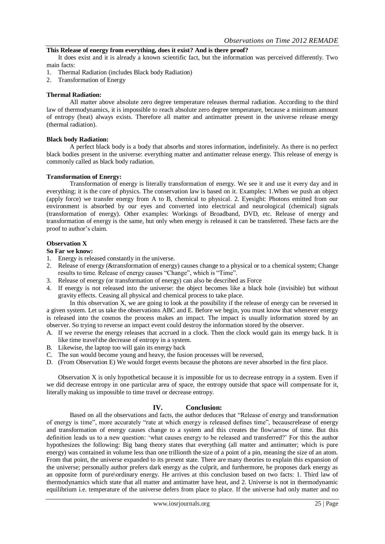# **This Release of energy from everything, does it exist? And is there proof?**

It does exist and it is already a known scientific fact, but the information was perceived differently. Two main facts:

- 1. Thermal Radiation (includes Black body Radiation)
- 2. Transformation of Energy

#### **Thermal Radiation:**

All matter above absolute zero degree temperature releases thermal radiation. According to the third law of thermodynamics, it is impossible to reach absolute zero degree temperature, because a minimum amount of entropy (heat) always exists. Therefore all matter and antimatter present in the universe release energy (thermal radiation).

#### **Black body Radiation:**

A perfect black body is a body that absorbs and stores information, indefinitely. As there is no perfect black bodies present in the universe: everything matter and antimatter release energy. This release of energy is commonly called as black body radiation.

#### **Transformation of Energy:**

Transformation of energy is literally transformation of energy. We see it and use it every day and in everything; it is the core of physics. The conservation law is based on it. Examples: 1.When we push an object (apply force) we transfer energy from A to B, chemical to physical. 2. Eyesight: Photons emitted from our environment is absorbed by our eyes and converted into electrical and neurological (chemical) signals (transformation of energy). Other examples: Workings of Broadband, DVD, etc. Release of energy and transformation of energy is the same, but only when energy is released it can be transferred. These facts are the proof to author"s claim.

# **Observation X**

# **So Far we know:**

- 1. Energy is released constantly in the universe.
- 2. Release of energy (&transformation of energy) causes change to a physical or to a chemical system; Change results to time. Release of energy causes "Change", which is "Time".
- 3. Release of energy (or transformation of energy) can also be described as Force
- 4. If energy is not released into the universe: the object becomes like a black hole (invisible) but without gravity effects. Ceasing all physical and chemical process to take place.

In this observation X, we are going to look at the possibility if the release of energy can be reversed in a given system. Let us take the observations ABC and E. Before we begin, you must know that whenever energy is released into the cosmos the process makes an impact. The impact is usually information stored by an observer. So trying to reverse an impact event could destroy the information stored by the observer.

- A. If we reverse the energy releases that accrued in a clock. Then the clock would gain its energy back. It is like time travel\the decrease of entropy in a system.
- B. Likewise, the laptop too will gain its energy back
- C. The sun would become young and heavy, the fusion processes will be reversed,
- D. (From Observation E) We would forget events because the photons are never absorbed in the first place.

Observation X is only hypothetical because it is impossible for us to decrease entropy in a system. Even if we did decrease entropy in one particular area of space, the entropy outside that space will compensate for it, literally making us impossible to time travel or decrease entropy.

#### **IV. Conclusion:**

Based on all the observations and facts, the author deduces that "Release of energy and transformation of energy is time", more accurately "rate at which energy is released defines time", becauserelease of energy and transformation of energy causes change to a system and this creates the flow\arrow of time. But this definition leads us to a new question: "what causes energy to be released and transferred?" For this the author hypothesizes the following: Big bang theory states that everything (all matter and antimatter; which is pure energy) was contained in volume less than one trillionth the size of a point of a pin, meaning the size of an atom. From that point, the universe expanded to its present state. There are many theories to explain this expansion of the universe; personally author prefers dark energy as the culprit, and furthermore, he proposes dark energy as an opposite form of pure\ordinary energy. He arrives at this conclusion based on two facts: 1. Third law of thermodynamics which state that all matter and antimatter have heat, and 2. Universe is not in thermodynamic equilibrium i.e. temperature of the universe defers from place to place. If the universe had only matter and no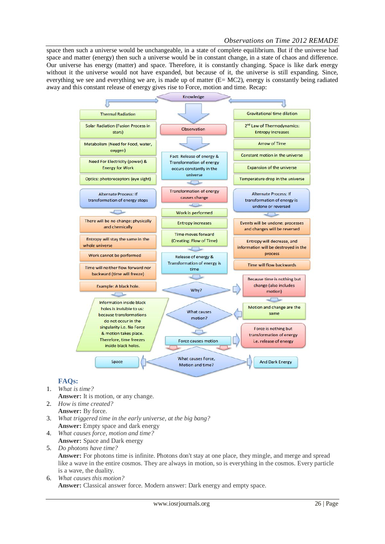space then such a universe would be unchangeable, in a state of complete equilibrium. But if the universe had space and matter (energy) then such a universe would be in constant change, in a state of chaos and difference. Our universe has energy (matter) and space. Therefore, it is constantly changing. Space is like dark energy without it the universe would not have expanded, but because of it, the universe is still expanding. Since, everything we see and everything we are, is made up of matter  $(E= MC2)$ , energy is constantly being radiated away and this constant release of energy gives rise to Force, motion and time. Recap:



# **FAQs:**

- 1. *What is time?*
- **Answer:** It is motion, or any change. 2. *How is time created?*
- **Answer:** By force.
- 3. *What triggered time in the early universe, at the big bang?* **Answer:** Empty space and dark energy
- 4. *What causes force, motion and time?* **Answer:** Space and Dark energy
- 5. *Do photons have time?* **Answer:** For photons time is infinite. Photons don't stay at one place, they mingle, and merge and spread like a wave in the entire cosmos. They are always in motion, so is everything in the cosmos. Every particle is a wave, the duality.
- 6. *What causes this motion?* **Answer:** Classical answer force. Modern answer: Dark energy and empty space.